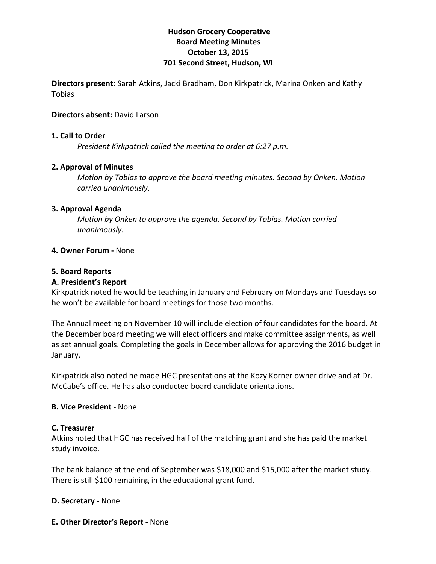# **Hudson Grocery Cooperative Board Meeting Minutes October 13, 2015 701 Second Street, Hudson, WI**

**Directors present:** Sarah Atkins, Jacki Bradham, Don Kirkpatrick, Marina Onken and Kathy Tobias

#### **Directors absent: David Larson**

#### **1. Call to Order**

*President Kirkpatrick called the meeting to order at 6:27 p.m.* 

#### **2. Approval of Minutes**

*Motion by Tobias to approve the board meeting minutes. Second by Onken. Motion carried unanimously*.

#### **3. Approval Agenda**

*Motion by Onken to approve the agenda. Second by Tobias. Motion carried unanimously*.

#### **4. Owner Forum -** None

#### **5. Board Reports**

### **A. President's Report**

Kirkpatrick noted he would be teaching in January and February on Mondays and Tuesdays so he won't be available for board meetings for those two months.

The Annual meeting on November 10 will include election of four candidates for the board. At the December board meeting we will elect officers and make committee assignments, as well as set annual goals. Completing the goals in December allows for approving the 2016 budget in January.

Kirkpatrick also noted he made HGC presentations at the Kozy Korner owner drive and at Dr. McCabe's office. He has also conducted board candidate orientations.

### **B. Vice President - None**

#### **C. Treasurer**

Atkins noted that HGC has received half of the matching grant and she has paid the market study invoice.

The bank balance at the end of September was \$18,000 and \$15,000 after the market study. There is still \$100 remaining in the educational grant fund.

### **D. Secretary -** None

**E. Other Director's Report - None**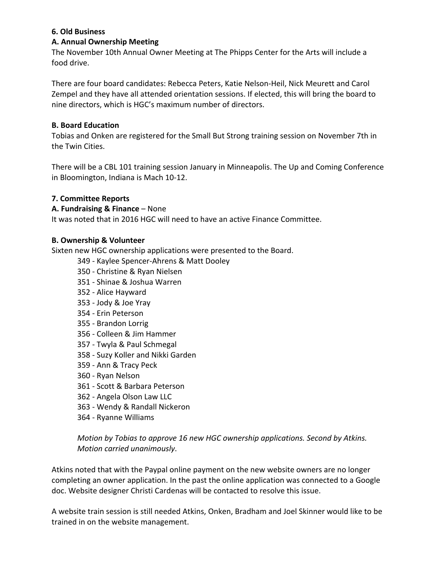## **6. Old Business**

## **A. Annual Ownership Meeting**

The November 10th Annual Owner Meeting at The Phipps Center for the Arts will include a food drive.

There are four board candidates: Rebecca Peters, Katie Nelson-Heil, Nick Meurett and Carol Zempel and they have all attended orientation sessions. If elected, this will bring the board to nine directors, which is HGC's maximum number of directors.

## **B. Board Education**

Tobias and Onken are registered for the Small But Strong training session on November 7th in the Twin Cities.

There will be a CBL 101 training session January in Minneapolis. The Up and Coming Conference in Bloomington, Indiana is Mach 10-12.

## **7. Committee Reports**

## **A. Fundraising & Finance** – None

It was noted that in 2016 HGC will need to have an active Finance Committee.

## **B. Ownership & Volunteer**

Sixten new HGC ownership applications were presented to the Board.

- 349 Kaylee Spencer-Ahrens & Matt Dooley
- 350 Christine & Ryan Nielsen
- 351 Shinae & Joshua Warren
- 352 Alice Hayward
- 353 Jody & Joe Yray
- 354 - Erin Peterson
- 355 Brandon Lorrig
- 356 - Colleen & Jim Hammer
- 357 Twyla & Paul Schmegal
- 358 Suzy Koller and Nikki Garden
- 359 Ann & Tracy Peck
- 360 Ryan Nelson
- 361 Scott & Barbara Peterson
- 362 Angela Olson Law LLC
- 363 Wendy & Randall Nickeron
- 364 Ryanne Williams

*Motion by Tobias to approve 16 new HGC ownership applications. Second by Atkins. Motion carried unanimously*.

Atkins noted that with the Paypal online payment on the new website owners are no longer completing an owner application. In the past the online application was connected to a Google doc. Website designer Christi Cardenas will be contacted to resolve this issue.

A website train session is still needed Atkins, Onken, Bradham and Joel Skinner would like to be trained in on the website management.